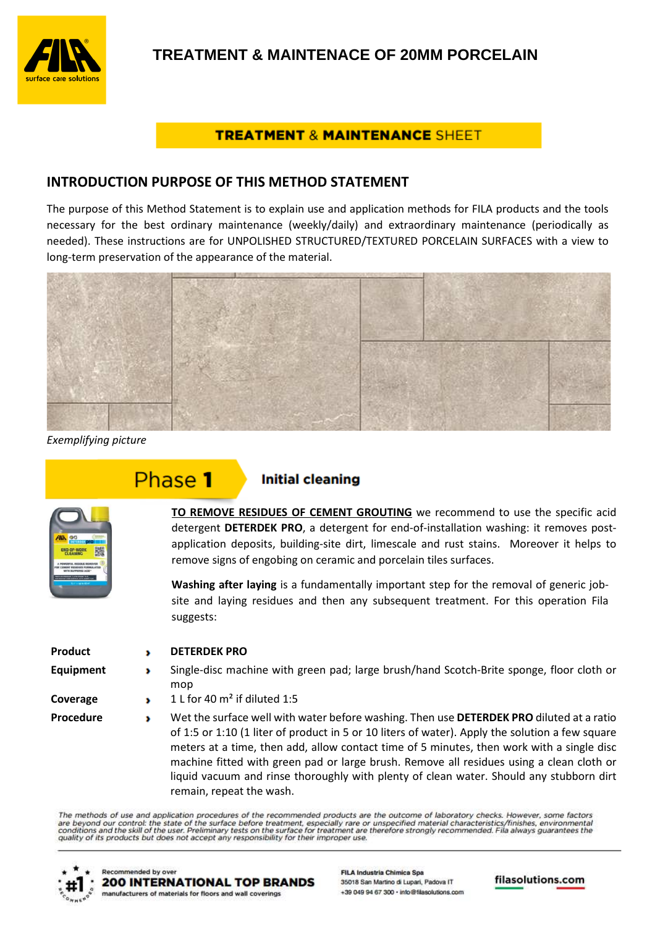

## **TREATMENT & MAINTENANCE SHEET**

## **INTRODUCTION PURPOSE OF THIS METHOD STATEMENT**

The purpose of this Method Statement is to explain use and application methods for FILA products and the tools necessary for the best ordinary maintenance (weekly/daily) and extraordinary maintenance (periodically as needed). These instructions are for UNPOLISHED STRUCTURED/TEXTURED PORCELAIN SURFACES with a view to long-term preservation of the appearance of the material.



*Exemplifying picture* 

# Phase 1

# **Initial cleaning**

**TO REMOVE RESIDUES OF CEMENT GROUTING** we recommend to use the specific acid detergent **DETERDEK PRO**, a detergent for end-of-installation washing: it removes postapplication deposits, building-site dirt, limescale and rust stains. Moreover it helps to remove signs of engobing on ceramic and porcelain tiles surfaces.

**Washing after laying** is a fundamentally important step for the removal of generic jobsite and laying residues and then any subsequent treatment. For this operation Fila suggests:

**Product DETERDEK PRO**

- 
- **Equipment** Single-disc machine with green pad; large brush/hand Scotch-Brite sponge, floor cloth or  $mon$
- **Coverage 1** L for 40 m<sup>2</sup> if diluted 1:5
- **Procedure** Wet the surface well with water before washing. Then use **DETERDEK PRO** diluted at a ratio of 1:5 or 1:10 (1 liter of product in 5 or 10 liters of water). Apply the solution a few square meters at a time, then add, allow contact time of 5 minutes, then work with a single disc machine fitted with green pad or large brush. Remove all residues using a clean cloth or liquid vacuum and rinse thoroughly with plenty of clean water. Should any stubborn dirt remain, repeat the wash.

The methods of use and application procedures of the recommended products are the outcome of laboratory checks. However, some factors are beyond our control: the state of the surface before treatment, especially rare or unspecified material characteristics/finishes, environmental<br>conditions and the skill of the user. Preliminary tests on the surface for



**FILA Industria Chimica Spa** 35018 San Martino di Lupari, Padova IT +39 049 94 67 300 · into@filasolutions.com

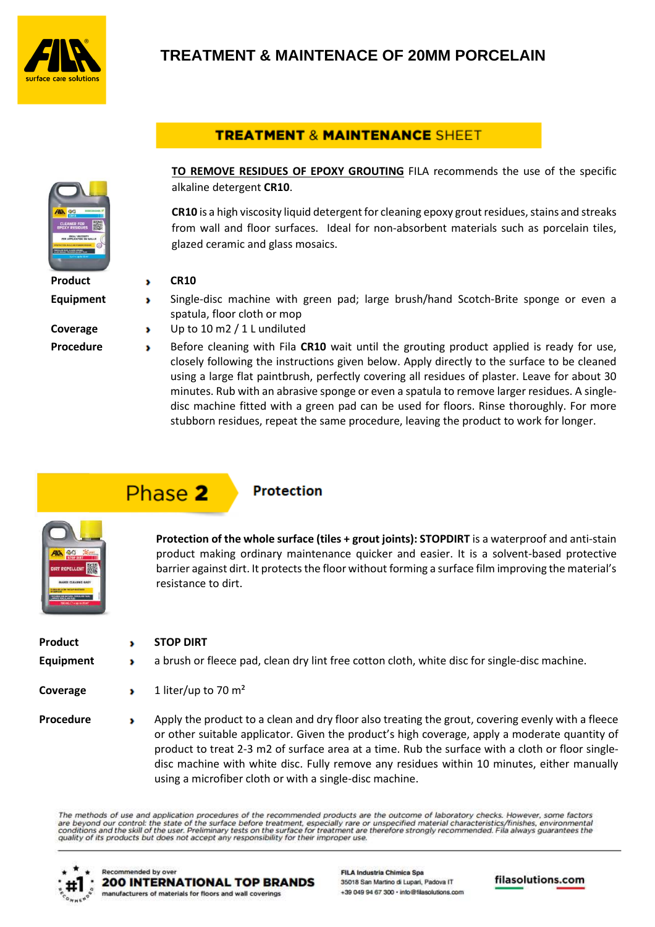

# **TREATMENT & MAINTENACE OF 20MM PORCELAIN**

# **TREATMENT & MAINTENANCE SHEET**



**TO REMOVE RESIDUES OF EPOXY GROUTING** FILA recommends the use of the specific alkaline detergent **CR10**.

**CR10** is a high viscosity liquid detergent for cleaning epoxy grout residues, stains and streaks from wall and floor surfaces. Ideal for non-absorbent materials such as porcelain tiles, glazed ceramic and glass mosaics.

#### **Product b** CR10

- **Equipment** Single-disc machine with green pad; large brush/hand Scotch-Brite sponge or even a spatula, floor cloth or mop
- **Coverage** Up to 10 m2 / 1 L undiluted

**Procedure** Before cleaning with Fila **CR10** wait until the grouting product applied is ready for use, closely following the instructions given below. Apply directly to the surface to be cleaned using a large flat paintbrush, perfectly covering all residues of plaster. Leave for about 30 minutes. Rub with an abrasive sponge or even a spatula to remove larger residues. A singledisc machine fitted with a green pad can be used for floors. Rinse thoroughly. For more stubborn residues, repeat the same procedure, leaving the product to work for longer.

# Phase 2

# **Protection**



**Protection of the whole surface (tiles + grout joints): STOPDIRT** is a waterproof and anti-stain product making ordinary maintenance quicker and easier. It is a solvent-based protective barrier against dirt. It protects the floor without forming a surface film improving the material's resistance to dirt.

| Product<br><b>Equipment</b> | <b>STOP DIRT</b><br>a brush or fleece pad, clean dry lint free cotton cloth, white disc for single-disc machine.                                                                                                                                                                                                                                                                                     |
|-----------------------------|------------------------------------------------------------------------------------------------------------------------------------------------------------------------------------------------------------------------------------------------------------------------------------------------------------------------------------------------------------------------------------------------------|
| Coverage                    | 1 liter/up to 70 $m2$                                                                                                                                                                                                                                                                                                                                                                                |
| <b>Procedure</b>            | Apply the product to a clean and dry floor also treating the grout, covering evenly with a fleece<br>or other suitable applicator. Given the product's high coverage, apply a moderate quantity of<br>product to treat 2-3 m2 of surface area at a time. Rub the surface with a cloth or floor single-<br>disc machine with white disc. Fully remove any residues within 10 minutes, either manually |

The methods of use and application procedures of the recommended products are the outcome of laboratory checks. However, some factors are beyond our control: the state of the surface before treatment, especially rare or unspecified material characteristics/finishes, environmental<br>conditions and the skill of the user. Preliminary tests on the surface for

using a microfiber cloth or with a single-disc machine.



Recommended by over **200 INTERNATIONAL TOP BRANDS** manufacturers of materials for floors and wall coverings

**FILA Industria Chimica Spa** 35018 San Martino di Lupari, Padova IT +39 049 94 67 300 · into@filasolutions.com

filasolutions.com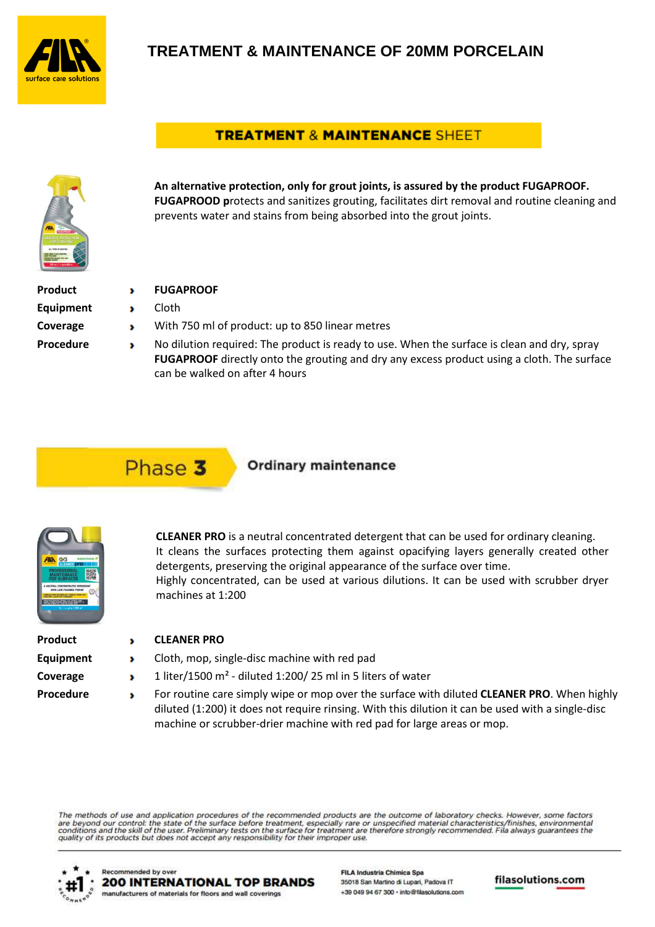

# **TREATMENT & MAINTENANCE OF 20MM PORCELAIN**

# **TREATMENT & MAINTENANCE SHEET**



**An alternative protection, only for grout joints, is assured by the product FUGAPROOF. FUGAPROOD p**rotects and sanitizes grouting, facilitates dirt removal and routine cleaning and prevents water and stains from being absorbed into the grout joints.

| Product          |
|------------------|
| <b>Equipment</b> |
| Coverage         |
| Procedure        |

- **PRODUCT**
- **Example 1**
- **With 750 ml of product: up to 850 linear metres**
- **Propelling No dilution required: The product is ready to use. When the surface is clean and dry, spray FUGAPROOF** directly onto the grouting and dry any excess product using a cloth. The surface can be walked on after 4 hours

# Phase 3

## **Ordinary maintenance**



**CLEANER PRO** is a neutral concentrated detergent that can be used for ordinary cleaning. It cleans the surfaces protecting them against opacifying layers generally created other detergents, preserving the original appearance of the surface over time. Highly concentrated, can be used at various dilutions. It can be used with scrubber dryer machines at 1:200

| Product          |
|------------------|
| <b>Equipment</b> |
| Coverage         |
| Procedure        |

#### **Product PRO**

- **EXECT** Cloth, mop, single-disc machine with red pad
- **Coverage 1 liter/1500 m<sup>2</sup> diluted 1:200/ 25 ml in 5 liters of water**
- **Procedure** For routine care simply wipe or mop over the surface with diluted **CLEANER PRO**. When highly diluted (1:200) it does not require rinsing. With this dilution it can be used with a single-disc machine or scrubber-drier machine with red pad for large areas or mop.

The methods of use and application procedures of the recommended products are the outcome of laboratory checks. However, some factors are beyond our control: the state of the surface before treatment, especially rare or unspecified material characteristics/finishes, environmental<br>conditions and the skill of the user. Preliminary tests on the surface for



**FILA Industria Chimica Spa** 35018 San Martino di Lupari, Padova IT +39 049 94 67 300 · into@filasolutions.com